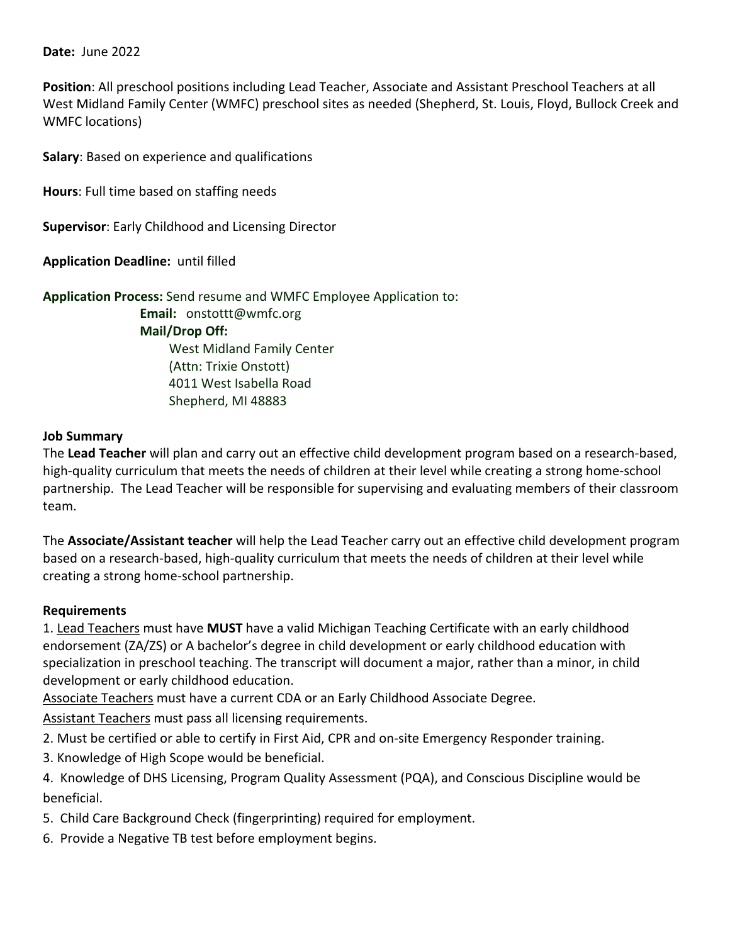## **Date: June 2022**

**Position**: All preschool positions including Lead Teacher, Associate and Assistant Preschool Teachers at all West Midland Family Center (WMFC) preschool sites as needed (Shepherd, St. Louis, Floyd, Bullock Creek and WMFC locations)

**Salary**: Based on experience and qualifications

**Hours**: Full time based on staffing needs

**Supervisor**: Early Childhood and Licensing Director

**Application Deadline: until filled** 

**Application Process:** Send resume and WMFC Employee Application to:

 **Email:** onstottt@wmfc.org **Mail/Drop Off:** West Midland Family Center (Attn: Trixie Onstott) 4011 West Isabella Road Shepherd, MI 48883

## **Job Summary**

The **Lead Teacher** will plan and carry out an effective child development program based on a research‐based, high-quality curriculum that meets the needs of children at their level while creating a strong home-school partnership. The Lead Teacher will be responsible for supervising and evaluating members of their classroom team.

The **Associate/Assistant teacher** will help the Lead Teacher carry out an effective child development program based on a research‐based, high‐quality curriculum that meets the needs of children at their level while creating a strong home‐school partnership.

## **Requirements**

1. Lead Teachers must have **MUST** have a valid Michigan Teaching Certificate with an early childhood endorsement (ZA/ZS) or A bachelor's degree in child development or early childhood education with specialization in preschool teaching. The transcript will document a major, rather than a minor, in child development or early childhood education.

Associate Teachers must have a current CDA or an Early Childhood Associate Degree.

Assistant Teachers must pass all licensing requirements.

2. Must be certified or able to certify in First Aid, CPR and on‐site Emergency Responder training.

3. Knowledge of High Scope would be beneficial.

4. Knowledge of DHS Licensing, Program Quality Assessment (PQA), and Conscious Discipline would be beneficial.

5. Child Care Background Check (fingerprinting) required for employment.

6. Provide a Negative TB test before employment begins.